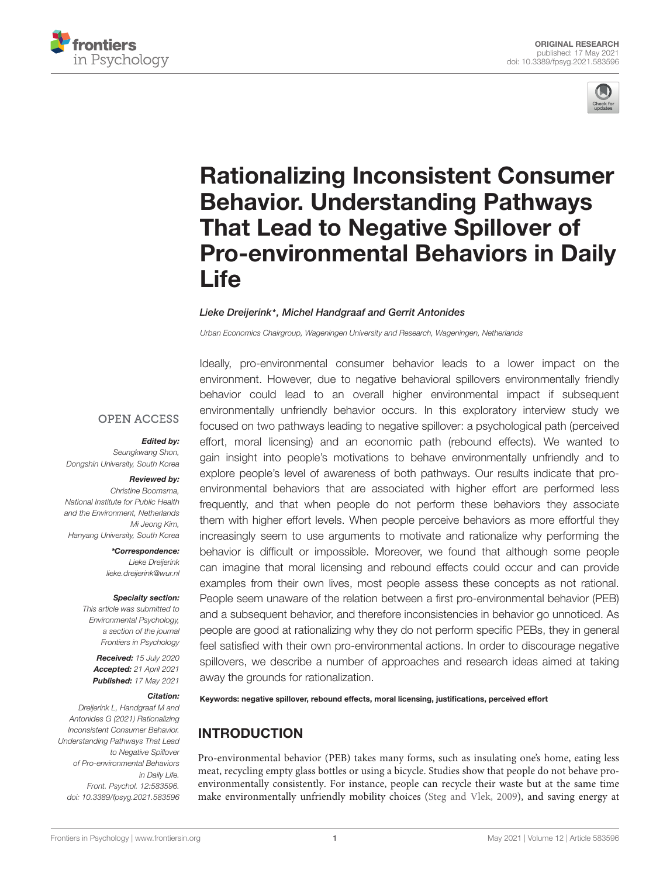



# Rationalizing Inconsistent Consumer Behavior. Understanding Pathways That Lead to Negative Spillover of [Pro-environmental Behaviors in Daily](https://www.frontiersin.org/articles/10.3389/fpsyg.2021.583596/full) **Life**

Ideally, pro-environmental consumer behavior leads to a lower impact on the

#### Lieke Dreijerink\*, Michel Handgraaf and Gerrit Antonides

Urban Economics Chairgroup, Wageningen University and Research, Wageningen, Netherlands

**OPEN ACCESS** 

#### Edited by:

Seungkwang Shon, Dongshin University, South Korea

#### Reviewed by:

Christine Boomsma, National Institute for Public Health and the Environment, Netherlands Mi Jeong Kim, Hanyang University, South Korea

> \*Correspondence: Lieke Dreijerink lieke.dreijerink@wur.nl

#### Specialty section:

This article was submitted to Environmental Psychology, a section of the journal Frontiers in Psychology

Received: 15 July 2020 Accepted: 21 April 2021 Published: 17 May 2021

#### Citation:

Dreijerink L, Handgraaf M and Antonides G (2021) Rationalizing Inconsistent Consumer Behavior. Understanding Pathways That Lead to Negative Spillover of Pro-environmental Behaviors in Daily Life. Front. Psychol. 12:583596. doi: [10.3389/fpsyg.2021.583596](https://doi.org/10.3389/fpsyg.2021.583596)

environment. However, due to negative behavioral spillovers environmentally friendly behavior could lead to an overall higher environmental impact if subsequent environmentally unfriendly behavior occurs. In this exploratory interview study we focused on two pathways leading to negative spillover: a psychological path (perceived effort, moral licensing) and an economic path (rebound effects). We wanted to gain insight into people's motivations to behave environmentally unfriendly and to explore people's level of awareness of both pathways. Our results indicate that proenvironmental behaviors that are associated with higher effort are performed less frequently, and that when people do not perform these behaviors they associate them with higher effort levels. When people perceive behaviors as more effortful they increasingly seem to use arguments to motivate and rationalize why performing the behavior is difficult or impossible. Moreover, we found that although some people can imagine that moral licensing and rebound effects could occur and can provide examples from their own lives, most people assess these concepts as not rational. People seem unaware of the relation between a first pro-environmental behavior (PEB) and a subsequent behavior, and therefore inconsistencies in behavior go unnoticed. As people are good at rationalizing why they do not perform specific PEBs, they in general feel satisfied with their own pro-environmental actions. In order to discourage negative spillovers, we describe a number of approaches and research ideas aimed at taking away the grounds for rationalization.

Keywords: negative spillover, rebound effects, moral licensing, justifications, perceived effort

# INTRODUCTION

Pro-environmental behavior (PEB) takes many forms, such as insulating one's home, eating less meat, recycling empty glass bottles or using a bicycle. Studies show that people do not behave proenvironmentally consistently. For instance, people can recycle their waste but at the same time make environmentally unfriendly mobility choices [\(Steg and Vlek,](#page-12-0) [2009\)](#page-12-0), and saving energy at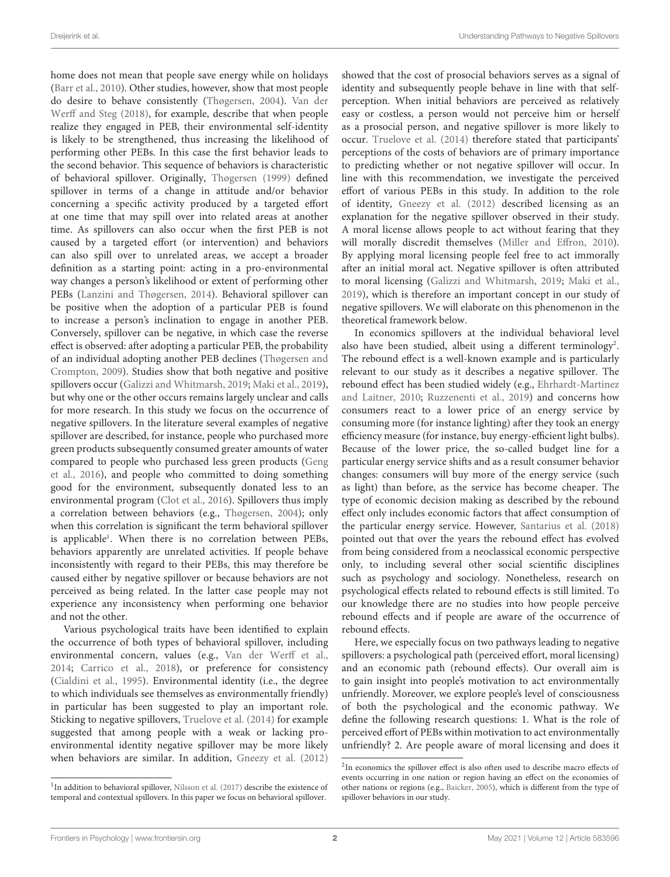home does not mean that people save energy while on holidays [\(Barr et al.,](#page-11-0) [2010\)](#page-11-0). Other studies, however, show that most people do desire to behave consistently [\(Thøgersen,](#page-12-1) [2004\)](#page-12-1). [Van der](#page-12-2) [Werff and Steg](#page-12-2) [\(2018\)](#page-12-2), for example, describe that when people realize they engaged in PEB, their environmental self-identity is likely to be strengthened, thus increasing the likelihood of performing other PEBs. In this case the first behavior leads to the second behavior. This sequence of behaviors is characteristic of behavioral spillover. Originally, [Thøgersen](#page-12-3) [\(1999\)](#page-12-3) defined spillover in terms of a change in attitude and/or behavior concerning a specific activity produced by a targeted effort at one time that may spill over into related areas at another time. As spillovers can also occur when the first PEB is not caused by a targeted effort (or intervention) and behaviors can also spill over to unrelated areas, we accept a broader definition as a starting point: acting in a pro-environmental way changes a person's likelihood or extent of performing other PEBs [\(Lanzini and Thøgersen,](#page-12-4) [2014\)](#page-12-4). Behavioral spillover can be positive when the adoption of a particular PEB is found to increase a person's inclination to engage in another PEB. Conversely, spillover can be negative, in which case the reverse effect is observed: after adopting a particular PEB, the probability of an individual adopting another PEB declines [\(Thøgersen and](#page-12-5) [Crompton,](#page-12-5) [2009\)](#page-12-5). Studies show that both negative and positive spillovers occur [\(Galizzi and Whitmarsh,](#page-12-6) [2019;](#page-12-6) [Maki et al.,](#page-12-7) [2019\)](#page-12-7), but why one or the other occurs remains largely unclear and calls for more research. In this study we focus on the occurrence of negative spillovers. In the literature several examples of negative spillover are described, for instance, people who purchased more green products subsequently consumed greater amounts of water compared to people who purchased less green products [\(Geng](#page-12-8) [et al.,](#page-12-8) [2016\)](#page-12-8), and people who committed to doing something good for the environment, subsequently donated less to an environmental program [\(Clot et al.,](#page-12-9) [2016\)](#page-12-9). Spillovers thus imply a correlation between behaviors (e.g., [Thøgersen,](#page-12-1) [2004\)](#page-12-1); only when this correlation is significant the term behavioral spillover is applicable<sup>[1](#page-1-0)</sup>. When there is no correlation between PEBs, behaviors apparently are unrelated activities. If people behave inconsistently with regard to their PEBs, this may therefore be caused either by negative spillover or because behaviors are not perceived as being related. In the latter case people may not experience any inconsistency when performing one behavior and not the other.

Various psychological traits have been identified to explain the occurrence of both types of behavioral spillover, including environmental concern, values (e.g., [Van der Werff et al.,](#page-12-10) [2014;](#page-12-10) [Carrico et al.,](#page-11-1) [2018\)](#page-11-1), or preference for consistency [\(Cialdini et al.,](#page-12-11) [1995\)](#page-12-11). Environmental identity (i.e., the degree to which individuals see themselves as environmentally friendly) in particular has been suggested to play an important role. Sticking to negative spillovers, [Truelove et al.](#page-12-12) [\(2014\)](#page-12-12) for example suggested that among people with a weak or lacking proenvironmental identity negative spillover may be more likely when behaviors are similar. In addition, [Gneezy et al.](#page-12-13) [\(2012\)](#page-12-13)

showed that the cost of prosocial behaviors serves as a signal of identity and subsequently people behave in line with that selfperception. When initial behaviors are perceived as relatively easy or costless, a person would not perceive him or herself as a prosocial person, and negative spillover is more likely to occur. [Truelove et al.](#page-12-12) [\(2014\)](#page-12-12) therefore stated that participants' perceptions of the costs of behaviors are of primary importance to predicting whether or not negative spillover will occur. In line with this recommendation, we investigate the perceived effort of various PEBs in this study. In addition to the role of identity, [Gneezy et al.](#page-12-13) [\(2012\)](#page-12-13) described licensing as an explanation for the negative spillover observed in their study. A moral license allows people to act without fearing that they will morally discredit themselves [\(Miller and Effron,](#page-12-15) [2010\)](#page-12-15). By applying moral licensing people feel free to act immorally after an initial moral act. Negative spillover is often attributed to moral licensing [\(Galizzi and Whitmarsh,](#page-12-6) [2019;](#page-12-6) [Maki et al.,](#page-12-7) [2019\)](#page-12-7), which is therefore an important concept in our study of negative spillovers. We will elaborate on this phenomenon in the theoretical framework below.

In economics spillovers at the individual behavioral level also have been studied, albeit using a different terminology<sup>[2](#page-1-1)</sup>. The rebound effect is a well-known example and is particularly relevant to our study as it describes a negative spillover. The rebound effect has been studied widely (e.g., [Ehrhardt-Martinez](#page-12-16) [and Laitner,](#page-12-16) [2010;](#page-12-16) [Ruzzenenti et al.,](#page-12-17) [2019\)](#page-12-17) and concerns how consumers react to a lower price of an energy service by consuming more (for instance lighting) after they took an energy efficiency measure (for instance, buy energy-efficient light bulbs). Because of the lower price, the so-called budget line for a particular energy service shifts and as a result consumer behavior changes: consumers will buy more of the energy service (such as light) than before, as the service has become cheaper. The type of economic decision making as described by the rebound effect only includes economic factors that affect consumption of the particular energy service. However, [Santarius et al.](#page-12-18) [\(2018\)](#page-12-18) pointed out that over the years the rebound effect has evolved from being considered from a neoclassical economic perspective only, to including several other social scientific disciplines such as psychology and sociology. Nonetheless, research on psychological effects related to rebound effects is still limited. To our knowledge there are no studies into how people perceive rebound effects and if people are aware of the occurrence of rebound effects.

Here, we especially focus on two pathways leading to negative spillovers: a psychological path (perceived effort, moral licensing) and an economic path (rebound effects). Our overall aim is to gain insight into people's motivation to act environmentally unfriendly. Moreover, we explore people's level of consciousness of both the psychological and the economic pathway. We define the following research questions: 1. What is the role of perceived effort of PEBs within motivation to act environmentally unfriendly? 2. Are people aware of moral licensing and does it

<span id="page-1-0"></span><sup>&</sup>lt;sup>1</sup>In addition to behavioral spillover, [Nilsson et al.](#page-12-14) [\(2017\)](#page-12-14) describe the existence of temporal and contextual spillovers. In this paper we focus on behavioral spillover.

<span id="page-1-1"></span><sup>&</sup>lt;sup>2</sup>In economics the spillover effect is also often used to describe macro effects of events occurring in one nation or region having an effect on the economies of other nations or regions (e.g., [Baicker,](#page-11-2) [2005\)](#page-11-2), which is different from the type of spillover behaviors in our study.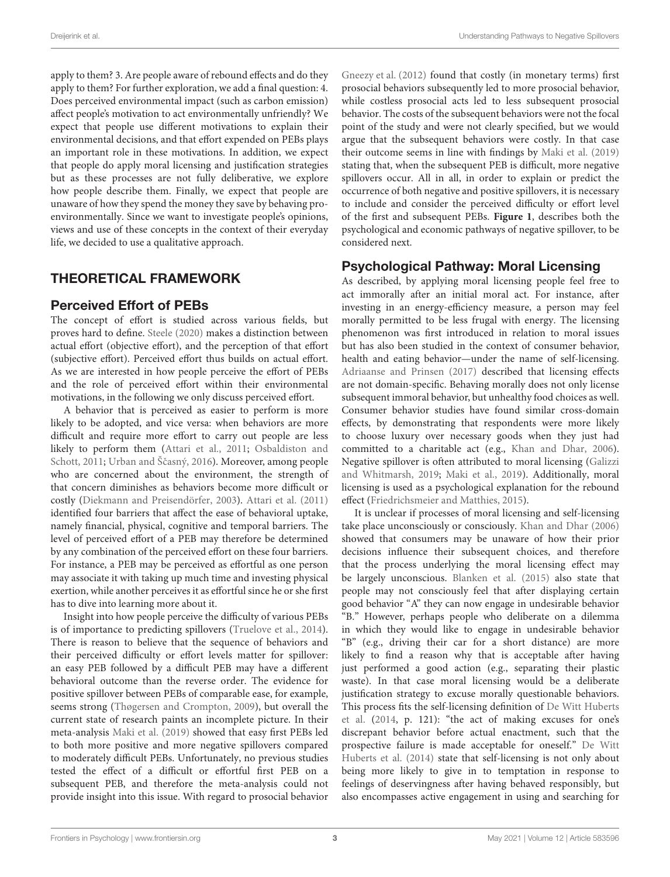apply to them? 3. Are people aware of rebound effects and do they apply to them? For further exploration, we add a final question: 4. Does perceived environmental impact (such as carbon emission) affect people's motivation to act environmentally unfriendly? We expect that people use different motivations to explain their environmental decisions, and that effort expended on PEBs plays an important role in these motivations. In addition, we expect that people do apply moral licensing and justification strategies but as these processes are not fully deliberative, we explore how people describe them. Finally, we expect that people are unaware of how they spend the money they save by behaving proenvironmentally. Since we want to investigate people's opinions, views and use of these concepts in the context of their everyday life, we decided to use a qualitative approach.

### THEORETICAL FRAMEWORK

#### Perceived Effort of PEBs

The concept of effort is studied across various fields, but proves hard to define. [Steele](#page-12-19) [\(2020\)](#page-12-19) makes a distinction between actual effort (objective effort), and the perception of that effort (subjective effort). Perceived effort thus builds on actual effort. As we are interested in how people perceive the effort of PEBs and the role of perceived effort within their environmental motivations, in the following we only discuss perceived effort.

A behavior that is perceived as easier to perform is more likely to be adopted, and vice versa: when behaviors are more difficult and require more effort to carry out people are less likely to perform them [\(Attari et al.,](#page-11-3) [2011;](#page-11-3) [Osbaldiston and](#page-12-20) [Schott,](#page-12-20) [2011;](#page-12-20) Urban and Ščasný, [2016\)](#page-12-21). Moreover, among people who are concerned about the environment, the strength of that concern diminishes as behaviors become more difficult or costly [\(Diekmann and Preisendörfer,](#page-12-22) [2003\)](#page-12-22). [Attari et al.](#page-11-3) [\(2011\)](#page-11-3) identified four barriers that affect the ease of behavioral uptake, namely financial, physical, cognitive and temporal barriers. The level of perceived effort of a PEB may therefore be determined by any combination of the perceived effort on these four barriers. For instance, a PEB may be perceived as effortful as one person may associate it with taking up much time and investing physical exertion, while another perceives it as effortful since he or she first has to dive into learning more about it.

Insight into how people perceive the difficulty of various PEBs is of importance to predicting spillovers [\(Truelove et al.,](#page-12-12) [2014\)](#page-12-12). There is reason to believe that the sequence of behaviors and their perceived difficulty or effort levels matter for spillover: an easy PEB followed by a difficult PEB may have a different behavioral outcome than the reverse order. The evidence for positive spillover between PEBs of comparable ease, for example, seems strong [\(Thøgersen and Crompton,](#page-12-5) [2009\)](#page-12-5), but overall the current state of research paints an incomplete picture. In their meta-analysis [Maki et al.](#page-12-7) [\(2019\)](#page-12-7) showed that easy first PEBs led to both more positive and more negative spillovers compared to moderately difficult PEBs. Unfortunately, no previous studies tested the effect of a difficult or effortful first PEB on a subsequent PEB, and therefore the meta-analysis could not provide insight into this issue. With regard to prosocial behavior

[Gneezy et al.](#page-12-13) [\(2012\)](#page-12-13) found that costly (in monetary terms) first prosocial behaviors subsequently led to more prosocial behavior, while costless prosocial acts led to less subsequent prosocial behavior. The costs of the subsequent behaviors were not the focal point of the study and were not clearly specified, but we would argue that the subsequent behaviors were costly. In that case their outcome seems in line with findings by [Maki et al.](#page-12-7) [\(2019\)](#page-12-7) stating that, when the subsequent PEB is difficult, more negative spillovers occur. All in all, in order to explain or predict the occurrence of both negative and positive spillovers, it is necessary to include and consider the perceived difficulty or effort level of the first and subsequent PEBs. **[Figure 1](#page-3-0)**, describes both the psychological and economic pathways of negative spillover, to be considered next.

#### Psychological Pathway: Moral Licensing

As described, by applying moral licensing people feel free to act immorally after an initial moral act. For instance, after investing in an energy-efficiency measure, a person may feel morally permitted to be less frugal with energy. The licensing phenomenon was first introduced in relation to moral issues but has also been studied in the context of consumer behavior, health and eating behavior—under the name of self-licensing. [Adriaanse and Prinsen](#page-11-4) [\(2017\)](#page-11-4) described that licensing effects are not domain-specific. Behaving morally does not only license subsequent immoral behavior, but unhealthy food choices as well. Consumer behavior studies have found similar cross-domain effects, by demonstrating that respondents were more likely to choose luxury over necessary goods when they just had committed to a charitable act (e.g., [Khan and Dhar,](#page-12-23) [2006\)](#page-12-23). Negative spillover is often attributed to moral licensing [\(Galizzi](#page-12-6) [and Whitmarsh,](#page-12-6) [2019;](#page-12-6) [Maki et al.,](#page-12-7) [2019\)](#page-12-7). Additionally, moral licensing is used as a psychological explanation for the rebound effect [\(Friedrichsmeier and Matthies,](#page-12-24) [2015\)](#page-12-24).

It is unclear if processes of moral licensing and self-licensing take place unconsciously or consciously. [Khan and Dhar](#page-12-23) [\(2006\)](#page-12-23) showed that consumers may be unaware of how their prior decisions influence their subsequent choices, and therefore that the process underlying the moral licensing effect may be largely unconscious. [Blanken et al.](#page-11-5) [\(2015\)](#page-11-5) also state that people may not consciously feel that after displaying certain good behavior "A" they can now engage in undesirable behavior "B." However, perhaps people who deliberate on a dilemma in which they would like to engage in undesirable behavior "B" (e.g., driving their car for a short distance) are more likely to find a reason why that is acceptable after having just performed a good action (e.g., separating their plastic waste). In that case moral licensing would be a deliberate justification strategy to excuse morally questionable behaviors. This process fits the self-licensing definition of [De Witt Huberts](#page-12-25) [et al.](#page-12-25) [\(2014,](#page-12-25) p. 121): "the act of making excuses for one's discrepant behavior before actual enactment, such that the prospective failure is made acceptable for oneself." [De Witt](#page-12-25) [Huberts et al.](#page-12-25) [\(2014\)](#page-12-25) state that self-licensing is not only about being more likely to give in to temptation in response to feelings of deservingness after having behaved responsibly, but also encompasses active engagement in using and searching for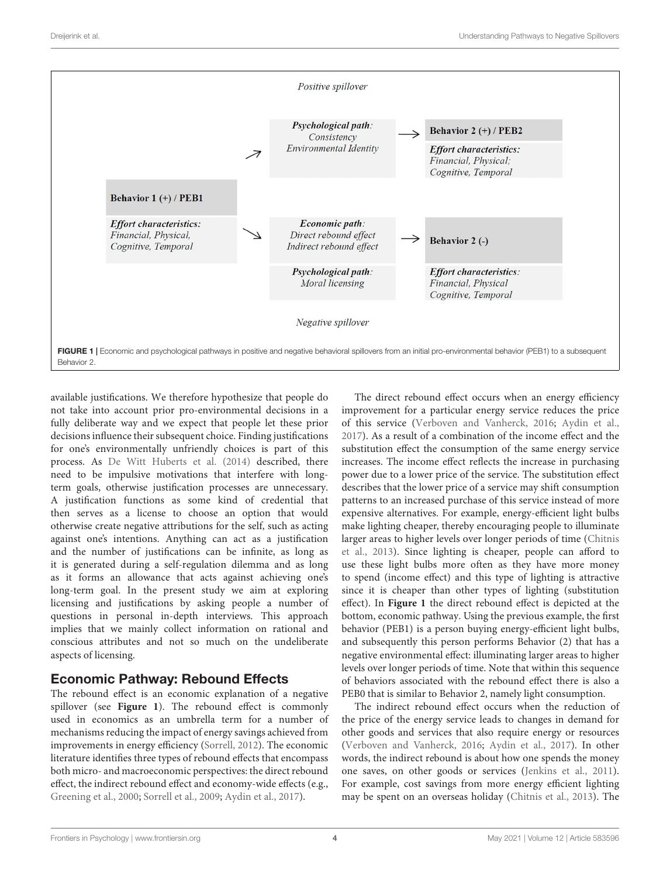

<span id="page-3-0"></span>available justifications. We therefore hypothesize that people do not take into account prior pro-environmental decisions in a fully deliberate way and we expect that people let these prior decisions influence their subsequent choice. Finding justifications for one's environmentally unfriendly choices is part of this process. As [De Witt Huberts et al.](#page-12-25) [\(2014\)](#page-12-25) described, there need to be impulsive motivations that interfere with longterm goals, otherwise justification processes are unnecessary. A justification functions as some kind of credential that then serves as a license to choose an option that would otherwise create negative attributions for the self, such as acting against one's intentions. Anything can act as a justification and the number of justifications can be infinite, as long as it is generated during a self-regulation dilemma and as long as it forms an allowance that acts against achieving one's long-term goal. In the present study we aim at exploring licensing and justifications by asking people a number of questions in personal in-depth interviews. This approach implies that we mainly collect information on rational and conscious attributes and not so much on the undeliberate aspects of licensing.

# Economic Pathway: Rebound Effects

The rebound effect is an economic explanation of a negative spillover (see **[Figure 1](#page-3-0)**). The rebound effect is commonly used in economics as an umbrella term for a number of mechanisms reducing the impact of energy savings achieved from improvements in energy efficiency [\(Sorrell,](#page-12-26) [2012\)](#page-12-26). The economic literature identifies three types of rebound effects that encompass both micro- and macroeconomic perspectives: the direct rebound effect, the indirect rebound effect and economy-wide effects (e.g., [Greening et al.,](#page-12-27) [2000;](#page-12-27) [Sorrell et al.,](#page-12-28) [2009;](#page-12-28) [Aydin et al.,](#page-11-6) [2017\)](#page-11-6).

The direct rebound effect occurs when an energy efficiency improvement for a particular energy service reduces the price of this service [\(Verboven and Vanherck,](#page-12-29) [2016;](#page-12-29) [Aydin et al.,](#page-11-6) [2017\)](#page-11-6). As a result of a combination of the income effect and the substitution effect the consumption of the same energy service increases. The income effect reflects the increase in purchasing power due to a lower price of the service. The substitution effect describes that the lower price of a service may shift consumption patterns to an increased purchase of this service instead of more expensive alternatives. For example, energy-efficient light bulbs make lighting cheaper, thereby encouraging people to illuminate larger areas to higher levels over longer periods of time [\(Chitnis](#page-11-7) [et al.,](#page-11-7) [2013\)](#page-11-7). Since lighting is cheaper, people can afford to use these light bulbs more often as they have more money to spend (income effect) and this type of lighting is attractive since it is cheaper than other types of lighting (substitution effect). In **[Figure 1](#page-3-0)** the direct rebound effect is depicted at the bottom, economic pathway. Using the previous example, the first behavior (PEB1) is a person buying energy-efficient light bulbs, and subsequently this person performs Behavior (2) that has a negative environmental effect: illuminating larger areas to higher levels over longer periods of time. Note that within this sequence of behaviors associated with the rebound effect there is also a PEB0 that is similar to Behavior 2, namely light consumption.

The indirect rebound effect occurs when the reduction of the price of the energy service leads to changes in demand for other goods and services that also require energy or resources [\(Verboven and Vanherck,](#page-12-29) [2016;](#page-12-29) [Aydin et al.,](#page-11-6) [2017\)](#page-11-6). In other words, the indirect rebound is about how one spends the money one saves, on other goods or services [\(Jenkins et al.,](#page-12-30) [2011\)](#page-12-30). For example, cost savings from more energy efficient lighting may be spent on an overseas holiday [\(Chitnis et al.,](#page-11-7) [2013\)](#page-11-7). The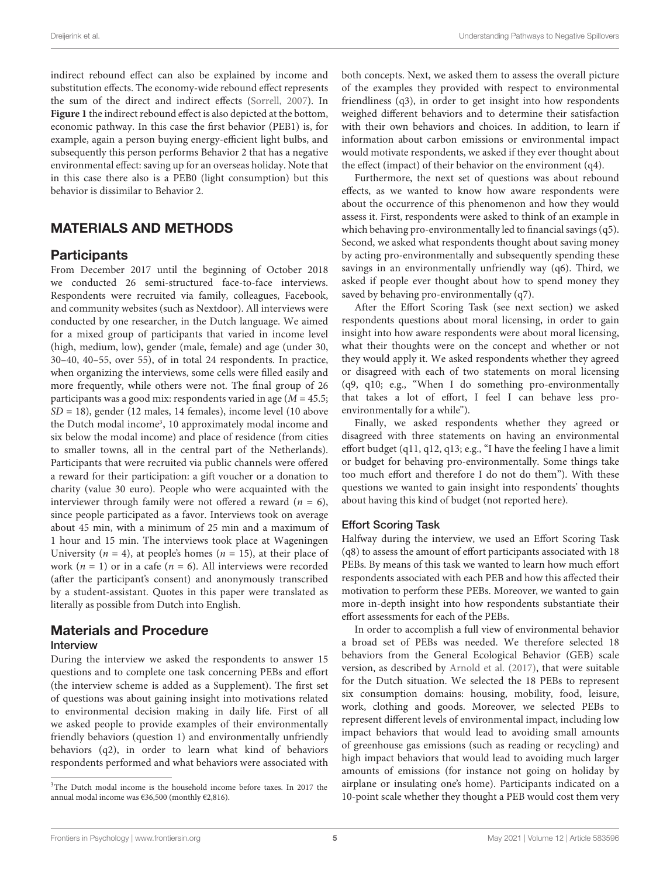indirect rebound effect can also be explained by income and substitution effects. The economy-wide rebound effect represents the sum of the direct and indirect effects [\(Sorrell,](#page-12-31) [2007\)](#page-12-31). In **[Figure 1](#page-3-0)** the indirect rebound effect is also depicted at the bottom, economic pathway. In this case the first behavior (PEB1) is, for example, again a person buying energy-efficient light bulbs, and subsequently this person performs Behavior 2 that has a negative environmental effect: saving up for an overseas holiday. Note that in this case there also is a PEB0 (light consumption) but this behavior is dissimilar to Behavior 2.

## MATERIALS AND METHODS

#### **Participants**

From December 2017 until the beginning of October 2018 we conducted 26 semi-structured face-to-face interviews. Respondents were recruited via family, colleagues, Facebook, and community websites (such as Nextdoor). All interviews were conducted by one researcher, in the Dutch language. We aimed for a mixed group of participants that varied in income level (high, medium, low), gender (male, female) and age (under 30, 30–40, 40–55, over 55), of in total 24 respondents. In practice, when organizing the interviews, some cells were filled easily and more frequently, while others were not. The final group of 26 participants was a good mix: respondents varied in age ( $M = 45.5$ ;  $SD = 18$ ), gender (12 males, 14 females), income level (10 above the Dutch modal income<sup>[3](#page-4-0)</sup>, 10 approximately modal income and six below the modal income) and place of residence (from cities to smaller towns, all in the central part of the Netherlands). Participants that were recruited via public channels were offered a reward for their participation: a gift voucher or a donation to charity (value 30 euro). People who were acquainted with the interviewer through family were not offered a reward  $(n = 6)$ , since people participated as a favor. Interviews took on average about 45 min, with a minimum of 25 min and a maximum of 1 hour and 15 min. The interviews took place at Wageningen University ( $n = 4$ ), at people's homes ( $n = 15$ ), at their place of work ( $n = 1$ ) or in a cafe ( $n = 6$ ). All interviews were recorded (after the participant's consent) and anonymously transcribed by a student-assistant. Quotes in this paper were translated as literally as possible from Dutch into English.

# Materials and Procedure

#### Interview

During the interview we asked the respondents to answer 15 questions and to complete one task concerning PEBs and effort (the interview scheme is added as a Supplement). The first set of questions was about gaining insight into motivations related to environmental decision making in daily life. First of all we asked people to provide examples of their environmentally friendly behaviors (question 1) and environmentally unfriendly behaviors (q2), in order to learn what kind of behaviors respondents performed and what behaviors were associated with

both concepts. Next, we asked them to assess the overall picture of the examples they provided with respect to environmental friendliness (q3), in order to get insight into how respondents weighed different behaviors and to determine their satisfaction with their own behaviors and choices. In addition, to learn if information about carbon emissions or environmental impact would motivate respondents, we asked if they ever thought about the effect (impact) of their behavior on the environment (q4).

Furthermore, the next set of questions was about rebound effects, as we wanted to know how aware respondents were about the occurrence of this phenomenon and how they would assess it. First, respondents were asked to think of an example in which behaving pro-environmentally led to financial savings (q5). Second, we asked what respondents thought about saving money by acting pro-environmentally and subsequently spending these savings in an environmentally unfriendly way (q6). Third, we asked if people ever thought about how to spend money they saved by behaving pro-environmentally (q7).

After the Effort Scoring Task (see next section) we asked respondents questions about moral licensing, in order to gain insight into how aware respondents were about moral licensing, what their thoughts were on the concept and whether or not they would apply it. We asked respondents whether they agreed or disagreed with each of two statements on moral licensing (q9, q10; e.g., "When I do something pro-environmentally that takes a lot of effort, I feel I can behave less proenvironmentally for a while").

Finally, we asked respondents whether they agreed or disagreed with three statements on having an environmental effort budget (q11, q12, q13; e.g., "I have the feeling I have a limit or budget for behaving pro-environmentally. Some things take too much effort and therefore I do not do them"). With these questions we wanted to gain insight into respondents' thoughts about having this kind of budget (not reported here).

#### Effort Scoring Task

Halfway during the interview, we used an Effort Scoring Task (q8) to assess the amount of effort participants associated with 18 PEBs. By means of this task we wanted to learn how much effort respondents associated with each PEB and how this affected their motivation to perform these PEBs. Moreover, we wanted to gain more in-depth insight into how respondents substantiate their effort assessments for each of the PEBs.

In order to accomplish a full view of environmental behavior a broad set of PEBs was needed. We therefore selected 18 behaviors from the General Ecological Behavior (GEB) scale version, as described by [Arnold et al.](#page-11-8) [\(2017\)](#page-11-8), that were suitable for the Dutch situation. We selected the 18 PEBs to represent six consumption domains: housing, mobility, food, leisure, work, clothing and goods. Moreover, we selected PEBs to represent different levels of environmental impact, including low impact behaviors that would lead to avoiding small amounts of greenhouse gas emissions (such as reading or recycling) and high impact behaviors that would lead to avoiding much larger amounts of emissions (for instance not going on holiday by airplane or insulating one's home). Participants indicated on a 10-point scale whether they thought a PEB would cost them very

<span id="page-4-0"></span><sup>&</sup>lt;sup>3</sup>The Dutch modal income is the household income before taxes. In 2017 the annual modal income was €36,500 (monthly €2,816).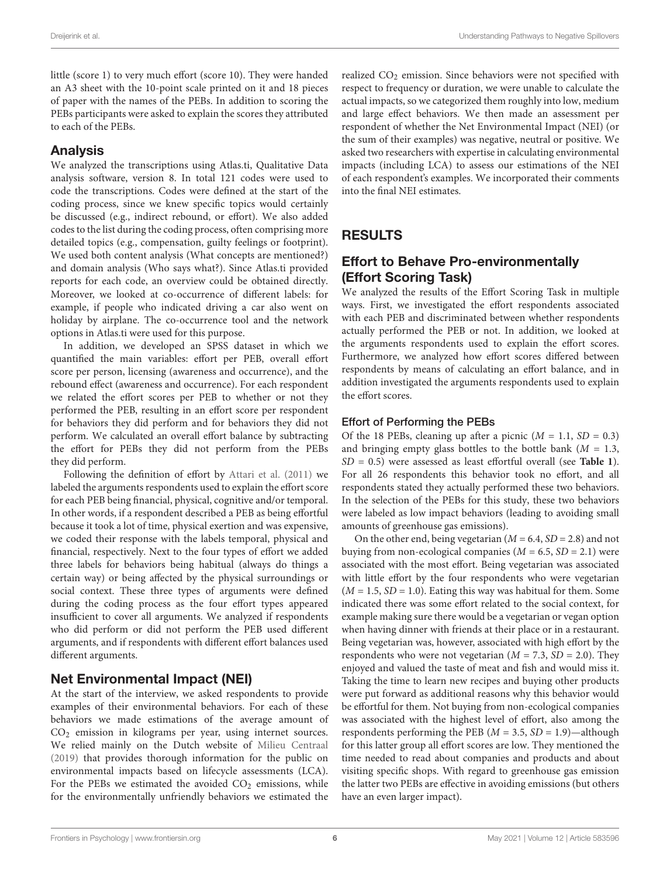little (score 1) to very much effort (score 10). They were handed an A3 sheet with the 10-point scale printed on it and 18 pieces of paper with the names of the PEBs. In addition to scoring the PEBs participants were asked to explain the scores they attributed to each of the PEBs.

#### Analysis

We analyzed the transcriptions using Atlas.ti, Qualitative Data analysis software, version 8. In total 121 codes were used to code the transcriptions. Codes were defined at the start of the coding process, since we knew specific topics would certainly be discussed (e.g., indirect rebound, or effort). We also added codes to the list during the coding process, often comprising more detailed topics (e.g., compensation, guilty feelings or footprint). We used both content analysis (What concepts are mentioned?) and domain analysis (Who says what?). Since Atlas.ti provided reports for each code, an overview could be obtained directly. Moreover, we looked at co-occurrence of different labels: for example, if people who indicated driving a car also went on holiday by airplane. The co-occurrence tool and the network options in Atlas.ti were used for this purpose.

In addition, we developed an SPSS dataset in which we quantified the main variables: effort per PEB, overall effort score per person, licensing (awareness and occurrence), and the rebound effect (awareness and occurrence). For each respondent we related the effort scores per PEB to whether or not they performed the PEB, resulting in an effort score per respondent for behaviors they did perform and for behaviors they did not perform. We calculated an overall effort balance by subtracting the effort for PEBs they did not perform from the PEBs they did perform.

Following the definition of effort by [Attari et al.](#page-11-3) [\(2011\)](#page-11-3) we labeled the arguments respondents used to explain the effort score for each PEB being financial, physical, cognitive and/or temporal. In other words, if a respondent described a PEB as being effortful because it took a lot of time, physical exertion and was expensive, we coded their response with the labels temporal, physical and financial, respectively. Next to the four types of effort we added three labels for behaviors being habitual (always do things a certain way) or being affected by the physical surroundings or social context. These three types of arguments were defined during the coding process as the four effort types appeared insufficient to cover all arguments. We analyzed if respondents who did perform or did not perform the PEB used different arguments, and if respondents with different effort balances used different arguments.

#### Net Environmental Impact (NEI)

At the start of the interview, we asked respondents to provide examples of their environmental behaviors. For each of these behaviors we made estimations of the average amount of CO<sup>2</sup> emission in kilograms per year, using internet sources. We relied mainly on the Dutch website of [Milieu Centraal](#page-12-32) [\(2019\)](#page-12-32) that provides thorough information for the public on environmental impacts based on lifecycle assessments (LCA). For the PEBs we estimated the avoided  $CO<sub>2</sub>$  emissions, while for the environmentally unfriendly behaviors we estimated the

realized  $CO<sub>2</sub>$  emission. Since behaviors were not specified with respect to frequency or duration, we were unable to calculate the actual impacts, so we categorized them roughly into low, medium and large effect behaviors. We then made an assessment per respondent of whether the Net Environmental Impact (NEI) (or the sum of their examples) was negative, neutral or positive. We asked two researchers with expertise in calculating environmental impacts (including LCA) to assess our estimations of the NEI of each respondent's examples. We incorporated their comments into the final NEI estimates.

# RESULTS

# Effort to Behave Pro-environmentally (Effort Scoring Task)

We analyzed the results of the Effort Scoring Task in multiple ways. First, we investigated the effort respondents associated with each PEB and discriminated between whether respondents actually performed the PEB or not. In addition, we looked at the arguments respondents used to explain the effort scores. Furthermore, we analyzed how effort scores differed between respondents by means of calculating an effort balance, and in addition investigated the arguments respondents used to explain the effort scores.

#### Effort of Performing the PEBs

Of the 18 PEBs, cleaning up after a picnic  $(M = 1.1, SD = 0.3)$ and bringing empty glass bottles to the bottle bank ( $M = 1.3$ , SD = 0.5) were assessed as least effortful overall (see **[Table 1](#page-6-0)**). For all 26 respondents this behavior took no effort, and all respondents stated they actually performed these two behaviors. In the selection of the PEBs for this study, these two behaviors were labeled as low impact behaviors (leading to avoiding small amounts of greenhouse gas emissions).

On the other end, being vegetarian  $(M = 6.4, SD = 2.8)$  and not buying from non-ecological companies ( $M = 6.5$ ,  $SD = 2.1$ ) were associated with the most effort. Being vegetarian was associated with little effort by the four respondents who were vegetarian  $(M = 1.5, SD = 1.0)$ . Eating this way was habitual for them. Some indicated there was some effort related to the social context, for example making sure there would be a vegetarian or vegan option when having dinner with friends at their place or in a restaurant. Being vegetarian was, however, associated with high effort by the respondents who were not vegetarian ( $M = 7.3$ ,  $SD = 2.0$ ). They enjoyed and valued the taste of meat and fish and would miss it. Taking the time to learn new recipes and buying other products were put forward as additional reasons why this behavior would be effortful for them. Not buying from non-ecological companies was associated with the highest level of effort, also among the respondents performing the PEB ( $M = 3.5$ ,  $SD = 1.9$ )—although for this latter group all effort scores are low. They mentioned the time needed to read about companies and products and about visiting specific shops. With regard to greenhouse gas emission the latter two PEBs are effective in avoiding emissions (but others have an even larger impact).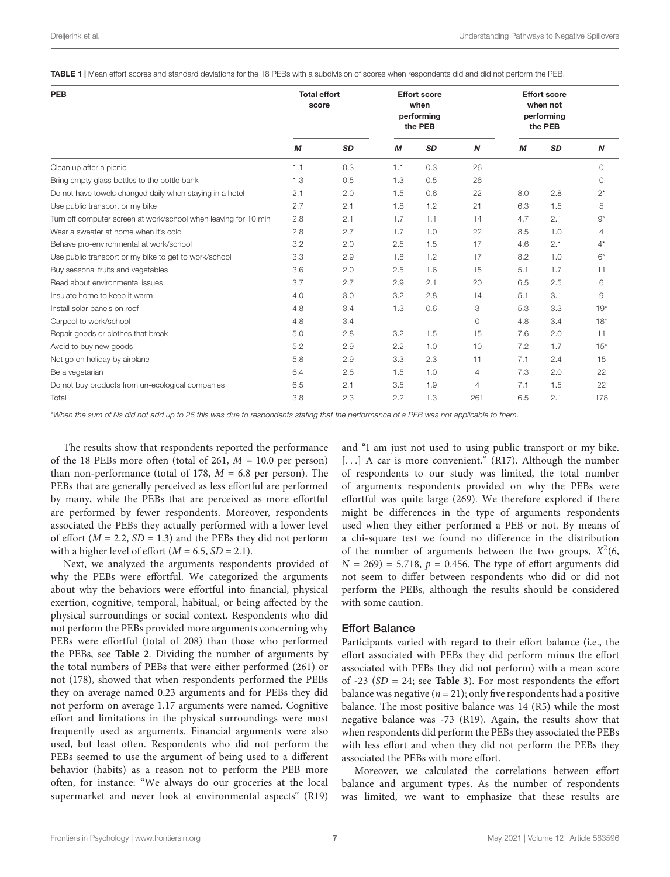<span id="page-6-0"></span>TABLE 1 | Mean effort scores and standard deviations for the 18 PEBs with a subdivision of scores when respondents did and did not perform the PEB.

| <b>PEB</b>                                                      | <b>Total effort</b><br>score |           | <b>Effort score</b><br>when<br>performing<br>the PEB |           |     | <b>Effort score</b><br>when not<br>performing<br>the PEB |           |                  |
|-----------------------------------------------------------------|------------------------------|-----------|------------------------------------------------------|-----------|-----|----------------------------------------------------------|-----------|------------------|
|                                                                 | M                            | <b>SD</b> | M                                                    | <b>SD</b> | N   | M                                                        | <b>SD</b> | $\boldsymbol{N}$ |
| Clean up after a picnic                                         | 1.1                          | 0.3       | 1.1                                                  | 0.3       | 26  |                                                          |           | $\circ$          |
| Bring empty glass bottles to the bottle bank                    | 1.3                          | 0.5       | 1.3                                                  | 0.5       | 26  |                                                          |           | $\circ$          |
| Do not have towels changed daily when staying in a hotel        | 2.1                          | 2.0       | 1.5                                                  | 0.6       | 22  | 8.0                                                      | 2.8       | $2^*$            |
| Use public transport or my bike                                 | 2.7                          | 2.1       | 1.8                                                  | 1.2       | 21  | 6.3                                                      | 1.5       | 5                |
| Turn off computer screen at work/school when leaving for 10 min | 2.8                          | 2.1       | 1.7                                                  | 1.1       | 14  | 4.7                                                      | 2.1       | $9^*$            |
| Wear a sweater at home when it's cold                           | 2.8                          | 2.7       | 1.7                                                  | 1.0       | 22  | 8.5                                                      | 1.0       | 4                |
| Behave pro-environmental at work/school                         | 3.2                          | 2.0       | 2.5                                                  | 1.5       | 17  | 4.6                                                      | 2.1       | $4^*$            |
| Use public transport or my bike to get to work/school           | 3.3                          | 2.9       | 1.8                                                  | 1.2       | 17  | 8.2                                                      | 1.0       | $6*$             |
| Buy seasonal fruits and vegetables                              | 3.6                          | 2.0       | 2.5                                                  | 1.6       | 15  | 5.1                                                      | 1.7       | 11               |
| Read about environmental issues                                 | 3.7                          | 2.7       | 2.9                                                  | 2.1       | 20  | 6.5                                                      | 2.5       | 6                |
| Insulate home to keep it warm                                   | 4.0                          | 3.0       | 3.2                                                  | 2.8       | 14  | 5.1                                                      | 3.1       | 9                |
| Install solar panels on roof                                    | 4.8                          | 3.4       | 1.3                                                  | 0.6       | 3   | 5.3                                                      | 3.3       | $19*$            |
| Carpool to work/school                                          | 4.8                          | 3.4       |                                                      |           | 0   | 4.8                                                      | 3.4       | $18*$            |
| Repair goods or clothes that break                              | 5.0                          | 2.8       | 3.2                                                  | 1.5       | 15  | 7.6                                                      | 2.0       | 11               |
| Avoid to buy new goods                                          | 5.2                          | 2.9       | 2.2                                                  | 1.0       | 10  | 7.2                                                      | 1.7       | $15*$            |
| Not go on holiday by airplane                                   | 5.8                          | 2.9       | 3.3                                                  | 2.3       | 11  | 7.1                                                      | 2.4       | 15               |
| Be a vegetarian                                                 | 6.4                          | 2.8       | 1.5                                                  | 1.0       | 4   | 7.3                                                      | 2.0       | 22               |
| Do not buy products from un-ecological companies                | 6.5                          | 2.1       | 3.5                                                  | 1.9       | 4   | 7.1                                                      | 1.5       | 22               |
| Total                                                           | 3.8                          | 2.3       | 2.2                                                  | 1.3       | 261 | 6.5                                                      | 2.1       | 178              |

\*When the sum of Ns did not add up to 26 this was due to respondents stating that the performance of a PEB was not applicable to them.

The results show that respondents reported the performance of the 18 PEBs more often (total of 261,  $M = 10.0$  per person) than non-performance (total of 178,  $M = 6.8$  per person). The PEBs that are generally perceived as less effortful are performed by many, while the PEBs that are perceived as more effortful are performed by fewer respondents. Moreover, respondents associated the PEBs they actually performed with a lower level of effort ( $M = 2.2$ ,  $SD = 1.3$ ) and the PEBs they did not perform with a higher level of effort  $(M = 6.5, SD = 2.1)$ .

Next, we analyzed the arguments respondents provided of why the PEBs were effortful. We categorized the arguments about why the behaviors were effortful into financial, physical exertion, cognitive, temporal, habitual, or being affected by the physical surroundings or social context. Respondents who did not perform the PEBs provided more arguments concerning why PEBs were effortful (total of 208) than those who performed the PEBs, see **[Table 2](#page-7-0)**. Dividing the number of arguments by the total numbers of PEBs that were either performed (261) or not (178), showed that when respondents performed the PEBs they on average named 0.23 arguments and for PEBs they did not perform on average 1.17 arguments were named. Cognitive effort and limitations in the physical surroundings were most frequently used as arguments. Financial arguments were also used, but least often. Respondents who did not perform the PEBs seemed to use the argument of being used to a different behavior (habits) as a reason not to perform the PEB more often, for instance: "We always do our groceries at the local supermarket and never look at environmental aspects" (R19)

and "I am just not used to using public transport or my bike. [...] A car is more convenient." (R17). Although the number of respondents to our study was limited, the total number of arguments respondents provided on why the PEBs were effortful was quite large (269). We therefore explored if there might be differences in the type of arguments respondents used when they either performed a PEB or not. By means of a chi-square test we found no difference in the distribution of the number of arguments between the two groups,  $X^2(6)$ ,  $N = 269$  = 5.718,  $p = 0.456$ . The type of effort arguments did not seem to differ between respondents who did or did not perform the PEBs, although the results should be considered with some caution.

#### Effort Balance

Participants varied with regard to their effort balance (i.e., the effort associated with PEBs they did perform minus the effort associated with PEBs they did not perform) with a mean score of -23 (SD = 24; see **[Table 3](#page-7-1)**). For most respondents the effort balance was negative ( $n = 21$ ); only five respondents had a positive balance. The most positive balance was 14 (R5) while the most negative balance was -73 (R19). Again, the results show that when respondents did perform the PEBs they associated the PEBs with less effort and when they did not perform the PEBs they associated the PEBs with more effort.

Moreover, we calculated the correlations between effort balance and argument types. As the number of respondents was limited, we want to emphasize that these results are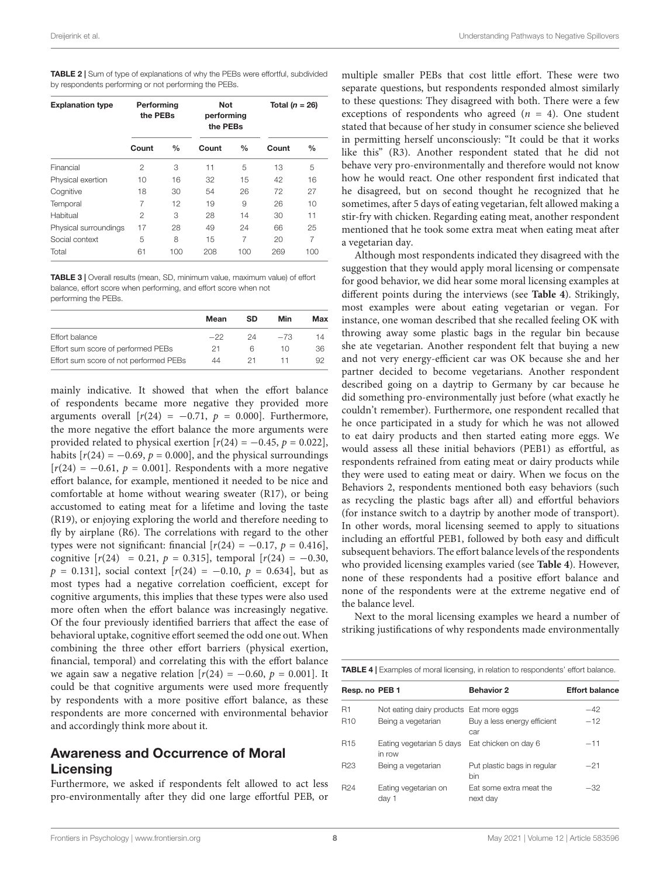<span id="page-7-0"></span>TABLE 2 | Sum of type of explanations of why the PEBs were effortful, subdivided by respondents performing or not performing the PEBs.

| <b>Explanation type</b> | Performing<br>the PEBs |               | <b>Not</b><br>performing<br>the PEBs |               | Total $(n = 26)$ |               |
|-------------------------|------------------------|---------------|--------------------------------------|---------------|------------------|---------------|
|                         | Count                  | $\frac{0}{0}$ | Count                                | $\frac{0}{0}$ | Count            | $\frac{0}{0}$ |
| Financial               | $\overline{c}$         | 3             | 11                                   | 5             | 13               | 5             |
| Physical exertion       | 10                     | 16            | 32                                   | 15            | 42               | 16            |
| Cognitive               | 18                     | 30            | 54                                   | 26            | 72               | 27            |
| Temporal                | 7                      | 12            | 19                                   | 9             | 26               | 10            |
| Habitual                | $\overline{c}$         | 3             | 28                                   | 14            | 30               | 11            |
| Physical surroundings   | 17                     | 28            | 49                                   | 24            | 66               | 25            |
| Social context          | 5                      | 8             | 15                                   | 7             | 20               | 7             |
| Total                   | 61                     | 100           | 208                                  | 100           | 269              | 100           |

<span id="page-7-1"></span>TABLE 3 | Overall results (mean, SD, minimum value, maximum value) of effort balance, effort score when performing, and effort score when not performing the PEBs.

|                                        | Mean  | SD | Min   | Max |
|----------------------------------------|-------|----|-------|-----|
| Effort balance                         | $-22$ | 24 | $-73$ | 14  |
| Effort sum score of performed PEBs     | 21    | հ  | 10    | 36  |
| Effort sum score of not performed PEBs | 44    | 21 |       | 92  |

mainly indicative. It showed that when the effort balance of respondents became more negative they provided more arguments overall  $[r(24) = -0.71, p = 0.000]$ . Furthermore, the more negative the effort balance the more arguments were provided related to physical exertion  $[r(24) = -0.45, p = 0.022]$ , habits  $[r(24) = -0.69, p = 0.000]$ , and the physical surroundings  $[r(24) = -0.61, p = 0.001]$ . Respondents with a more negative effort balance, for example, mentioned it needed to be nice and comfortable at home without wearing sweater (R17), or being accustomed to eating meat for a lifetime and loving the taste (R19), or enjoying exploring the world and therefore needing to fly by airplane (R6). The correlations with regard to the other types were not significant: financial  $[r(24) = -0.17, p = 0.416]$ , cognitive  $[r(24) = 0.21, p = 0.315]$ , temporal  $[r(24) = -0.30,$  $p = 0.131$ , social context  $[r(24) = -0.10, p = 0.634]$ , but as most types had a negative correlation coefficient, except for cognitive arguments, this implies that these types were also used more often when the effort balance was increasingly negative. Of the four previously identified barriers that affect the ease of behavioral uptake, cognitive effort seemed the odd one out. When combining the three other effort barriers (physical exertion, financial, temporal) and correlating this with the effort balance we again saw a negative relation  $[r(24) = -0.60, p = 0.001]$ . It could be that cognitive arguments were used more frequently by respondents with a more positive effort balance, as these respondents are more concerned with environmental behavior and accordingly think more about it.

### Awareness and Occurrence of Moral Licensing

Furthermore, we asked if respondents felt allowed to act less pro-environmentally after they did one large effortful PEB, or multiple smaller PEBs that cost little effort. These were two separate questions, but respondents responded almost similarly to these questions: They disagreed with both. There were a few exceptions of respondents who agreed  $(n = 4)$ . One student stated that because of her study in consumer science she believed in permitting herself unconsciously: "It could be that it works like this" (R3). Another respondent stated that he did not behave very pro-environmentally and therefore would not know how he would react. One other respondent first indicated that he disagreed, but on second thought he recognized that he sometimes, after 5 days of eating vegetarian, felt allowed making a stir-fry with chicken. Regarding eating meat, another respondent mentioned that he took some extra meat when eating meat after a vegetarian day.

Although most respondents indicated they disagreed with the suggestion that they would apply moral licensing or compensate for good behavior, we did hear some moral licensing examples at different points during the interviews (see **[Table 4](#page-7-2)**). Strikingly, most examples were about eating vegetarian or vegan. For instance, one woman described that she recalled feeling OK with throwing away some plastic bags in the regular bin because she ate vegetarian. Another respondent felt that buying a new and not very energy-efficient car was OK because she and her partner decided to become vegetarians. Another respondent described going on a daytrip to Germany by car because he did something pro-environmentally just before (what exactly he couldn't remember). Furthermore, one respondent recalled that he once participated in a study for which he was not allowed to eat dairy products and then started eating more eggs. We would assess all these initial behaviors (PEB1) as effortful, as respondents refrained from eating meat or dairy products while they were used to eating meat or dairy. When we focus on the Behaviors 2, respondents mentioned both easy behaviors (such as recycling the plastic bags after all) and effortful behaviors (for instance switch to a daytrip by another mode of transport). In other words, moral licensing seemed to apply to situations including an effortful PEB1, followed by both easy and difficult subsequent behaviors. The effort balance levels of the respondents who provided licensing examples varied (see **[Table 4](#page-7-2)**). However, none of these respondents had a positive effort balance and none of the respondents were at the extreme negative end of the balance level.

Next to the moral licensing examples we heard a number of striking justifications of why respondents made environmentally

<span id="page-7-2"></span>

|  |  |  | <b>TABLE 4</b>   Examples of moral licensing, in relation to respondents' effort balance. |
|--|--|--|-------------------------------------------------------------------------------------------|
|  |  |  |                                                                                           |

| Resp. no PEB 1                     | <b>Behavior 2</b>                   | <b>Effort balance</b>                   |
|------------------------------------|-------------------------------------|-----------------------------------------|
|                                    |                                     | $-42$                                   |
| Being a vegetarian                 | Buy a less energy efficient<br>car  | $-12$                                   |
| Eating vegetarian 5 days<br>in row | Eat chicken on day 6                | $-11$                                   |
| Being a vegetarian                 | Put plastic bags in regular<br>bin  | $-21$                                   |
| Eating vegetarian on<br>day 1      | Eat some extra meat the<br>next day | $-32$                                   |
|                                    |                                     | Not eating dairy products Eat more eggs |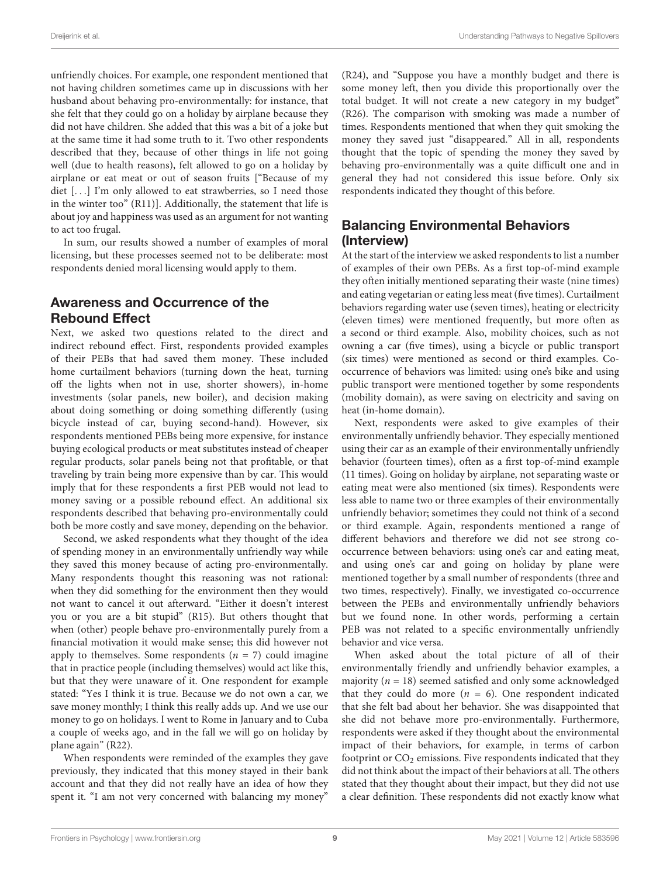unfriendly choices. For example, one respondent mentioned that not having children sometimes came up in discussions with her husband about behaving pro-environmentally: for instance, that she felt that they could go on a holiday by airplane because they did not have children. She added that this was a bit of a joke but at the same time it had some truth to it. Two other respondents described that they, because of other things in life not going well (due to health reasons), felt allowed to go on a holiday by airplane or eat meat or out of season fruits ["Because of my diet [. . .] I'm only allowed to eat strawberries, so I need those in the winter too" (R11)]. Additionally, the statement that life is about joy and happiness was used as an argument for not wanting to act too frugal.

In sum, our results showed a number of examples of moral licensing, but these processes seemed not to be deliberate: most respondents denied moral licensing would apply to them.

## Awareness and Occurrence of the Rebound Effect

Next, we asked two questions related to the direct and indirect rebound effect. First, respondents provided examples of their PEBs that had saved them money. These included home curtailment behaviors (turning down the heat, turning off the lights when not in use, shorter showers), in-home investments (solar panels, new boiler), and decision making about doing something or doing something differently (using bicycle instead of car, buying second-hand). However, six respondents mentioned PEBs being more expensive, for instance buying ecological products or meat substitutes instead of cheaper regular products, solar panels being not that profitable, or that traveling by train being more expensive than by car. This would imply that for these respondents a first PEB would not lead to money saving or a possible rebound effect. An additional six respondents described that behaving pro-environmentally could both be more costly and save money, depending on the behavior.

Second, we asked respondents what they thought of the idea of spending money in an environmentally unfriendly way while they saved this money because of acting pro-environmentally. Many respondents thought this reasoning was not rational: when they did something for the environment then they would not want to cancel it out afterward. "Either it doesn't interest you or you are a bit stupid" (R15). But others thought that when (other) people behave pro-environmentally purely from a financial motivation it would make sense; this did however not apply to themselves. Some respondents  $(n = 7)$  could imagine that in practice people (including themselves) would act like this, but that they were unaware of it. One respondent for example stated: "Yes I think it is true. Because we do not own a car, we save money monthly; I think this really adds up. And we use our money to go on holidays. I went to Rome in January and to Cuba a couple of weeks ago, and in the fall we will go on holiday by plane again" (R22).

When respondents were reminded of the examples they gave previously, they indicated that this money stayed in their bank account and that they did not really have an idea of how they spent it. "I am not very concerned with balancing my money"

(R24), and "Suppose you have a monthly budget and there is some money left, then you divide this proportionally over the total budget. It will not create a new category in my budget" (R26). The comparison with smoking was made a number of times. Respondents mentioned that when they quit smoking the money they saved just "disappeared." All in all, respondents thought that the topic of spending the money they saved by behaving pro-environmentally was a quite difficult one and in general they had not considered this issue before. Only six respondents indicated they thought of this before.

# Balancing Environmental Behaviors (Interview)

At the start of the interview we asked respondents to list a number of examples of their own PEBs. As a first top-of-mind example they often initially mentioned separating their waste (nine times) and eating vegetarian or eating less meat (five times). Curtailment behaviors regarding water use (seven times), heating or electricity (eleven times) were mentioned frequently, but more often as a second or third example. Also, mobility choices, such as not owning a car (five times), using a bicycle or public transport (six times) were mentioned as second or third examples. Cooccurrence of behaviors was limited: using one's bike and using public transport were mentioned together by some respondents (mobility domain), as were saving on electricity and saving on heat (in-home domain).

Next, respondents were asked to give examples of their environmentally unfriendly behavior. They especially mentioned using their car as an example of their environmentally unfriendly behavior (fourteen times), often as a first top-of-mind example (11 times). Going on holiday by airplane, not separating waste or eating meat were also mentioned (six times). Respondents were less able to name two or three examples of their environmentally unfriendly behavior; sometimes they could not think of a second or third example. Again, respondents mentioned a range of different behaviors and therefore we did not see strong cooccurrence between behaviors: using one's car and eating meat, and using one's car and going on holiday by plane were mentioned together by a small number of respondents (three and two times, respectively). Finally, we investigated co-occurrence between the PEBs and environmentally unfriendly behaviors but we found none. In other words, performing a certain PEB was not related to a specific environmentally unfriendly behavior and vice versa.

When asked about the total picture of all of their environmentally friendly and unfriendly behavior examples, a majority ( $n = 18$ ) seemed satisfied and only some acknowledged that they could do more  $(n = 6)$ . One respondent indicated that she felt bad about her behavior. She was disappointed that she did not behave more pro-environmentally. Furthermore, respondents were asked if they thought about the environmental impact of their behaviors, for example, in terms of carbon footprint or  $CO<sub>2</sub>$  emissions. Five respondents indicated that they did not think about the impact of their behaviors at all. The others stated that they thought about their impact, but they did not use a clear definition. These respondents did not exactly know what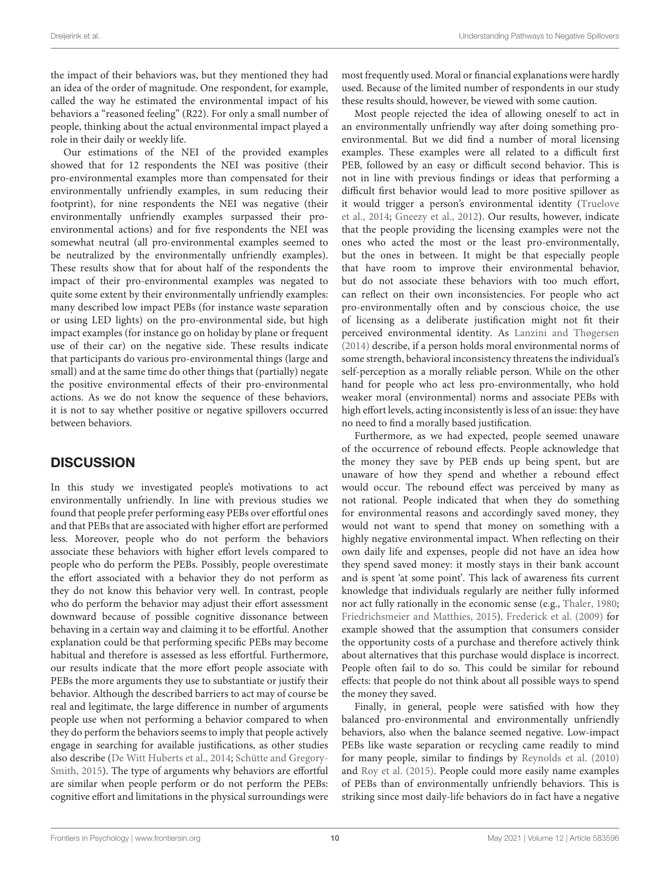the impact of their behaviors was, but they mentioned they had an idea of the order of magnitude. One respondent, for example, called the way he estimated the environmental impact of his behaviors a "reasoned feeling" (R22). For only a small number of people, thinking about the actual environmental impact played a role in their daily or weekly life.

Our estimations of the NEI of the provided examples showed that for 12 respondents the NEI was positive (their pro-environmental examples more than compensated for their environmentally unfriendly examples, in sum reducing their footprint), for nine respondents the NEI was negative (their environmentally unfriendly examples surpassed their proenvironmental actions) and for five respondents the NEI was somewhat neutral (all pro-environmental examples seemed to be neutralized by the environmentally unfriendly examples). These results show that for about half of the respondents the impact of their pro-environmental examples was negated to quite some extent by their environmentally unfriendly examples: many described low impact PEBs (for instance waste separation or using LED lights) on the pro-environmental side, but high impact examples (for instance go on holiday by plane or frequent use of their car) on the negative side. These results indicate that participants do various pro-environmental things (large and small) and at the same time do other things that (partially) negate the positive environmental effects of their pro-environmental actions. As we do not know the sequence of these behaviors, it is not to say whether positive or negative spillovers occurred between behaviors.

### **DISCUSSION**

In this study we investigated people's motivations to act environmentally unfriendly. In line with previous studies we found that people prefer performing easy PEBs over effortful ones and that PEBs that are associated with higher effort are performed less. Moreover, people who do not perform the behaviors associate these behaviors with higher effort levels compared to people who do perform the PEBs. Possibly, people overestimate the effort associated with a behavior they do not perform as they do not know this behavior very well. In contrast, people who do perform the behavior may adjust their effort assessment downward because of possible cognitive dissonance between behaving in a certain way and claiming it to be effortful. Another explanation could be that performing specific PEBs may become habitual and therefore is assessed as less effortful. Furthermore, our results indicate that the more effort people associate with PEBs the more arguments they use to substantiate or justify their behavior. Although the described barriers to act may of course be real and legitimate, the large difference in number of arguments people use when not performing a behavior compared to when they do perform the behaviors seems to imply that people actively engage in searching for available justifications, as other studies also describe [\(De Witt Huberts et al.,](#page-12-25) [2014;](#page-12-25) [Schütte and Gregory-](#page-12-33)[Smith,](#page-12-33) [2015\)](#page-12-33). The type of arguments why behaviors are effortful are similar when people perform or do not perform the PEBs: cognitive effort and limitations in the physical surroundings were

most frequently used. Moral or financial explanations were hardly used. Because of the limited number of respondents in our study these results should, however, be viewed with some caution.

Most people rejected the idea of allowing oneself to act in an environmentally unfriendly way after doing something proenvironmental. But we did find a number of moral licensing examples. These examples were all related to a difficult first PEB, followed by an easy or difficult second behavior. This is not in line with previous findings or ideas that performing a difficult first behavior would lead to more positive spillover as it would trigger a person's environmental identity [\(Truelove](#page-12-12) [et al.,](#page-12-12) [2014;](#page-12-12) [Gneezy et al.,](#page-12-13) [2012\)](#page-12-13). Our results, however, indicate that the people providing the licensing examples were not the ones who acted the most or the least pro-environmentally, but the ones in between. It might be that especially people that have room to improve their environmental behavior, but do not associate these behaviors with too much effort, can reflect on their own inconsistencies. For people who act pro-environmentally often and by conscious choice, the use of licensing as a deliberate justification might not fit their perceived environmental identity. As [Lanzini and Thøgersen](#page-12-4) [\(2014\)](#page-12-4) describe, if a person holds moral environmental norms of some strength, behavioral inconsistency threatens the individual's self-perception as a morally reliable person. While on the other hand for people who act less pro-environmentally, who hold weaker moral (environmental) norms and associate PEBs with high effort levels, acting inconsistently is less of an issue: they have no need to find a morally based justification.

Furthermore, as we had expected, people seemed unaware of the occurrence of rebound effects. People acknowledge that the money they save by PEB ends up being spent, but are unaware of how they spend and whether a rebound effect would occur. The rebound effect was perceived by many as not rational. People indicated that when they do something for environmental reasons and accordingly saved money, they would not want to spend that money on something with a highly negative environmental impact. When reflecting on their own daily life and expenses, people did not have an idea how they spend saved money: it mostly stays in their bank account and is spent 'at some point'. This lack of awareness fits current knowledge that individuals regularly are neither fully informed nor act fully rationally in the economic sense (e.g., [Thaler,](#page-12-34) [1980;](#page-12-34) [Friedrichsmeier and Matthies,](#page-12-24) [2015\)](#page-12-24). [Frederick et al.](#page-12-35) [\(2009\)](#page-12-35) for example showed that the assumption that consumers consider the opportunity costs of a purchase and therefore actively think about alternatives that this purchase would displace is incorrect. People often fail to do so. This could be similar for rebound effects: that people do not think about all possible ways to spend the money they saved.

Finally, in general, people were satisfied with how they balanced pro-environmental and environmentally unfriendly behaviors, also when the balance seemed negative. Low-impact PEBs like waste separation or recycling came readily to mind for many people, similar to findings by [Reynolds et al.](#page-12-36) [\(2010\)](#page-12-36) and [Roy et al.](#page-12-37) [\(2015\)](#page-12-37). People could more easily name examples of PEBs than of environmentally unfriendly behaviors. This is striking since most daily-life behaviors do in fact have a negative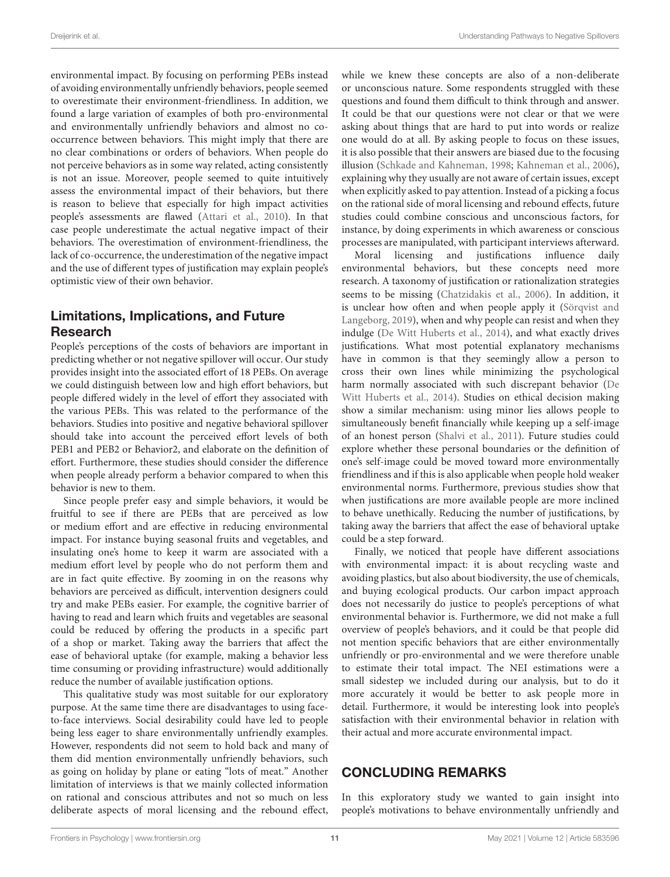environmental impact. By focusing on performing PEBs instead of avoiding environmentally unfriendly behaviors, people seemed to overestimate their environment-friendliness. In addition, we found a large variation of examples of both pro-environmental and environmentally unfriendly behaviors and almost no cooccurrence between behaviors. This might imply that there are no clear combinations or orders of behaviors. When people do not perceive behaviors as in some way related, acting consistently is not an issue. Moreover, people seemed to quite intuitively assess the environmental impact of their behaviors, but there is reason to believe that especially for high impact activities people's assessments are flawed [\(Attari et al.,](#page-11-9) [2010\)](#page-11-9). In that case people underestimate the actual negative impact of their behaviors. The overestimation of environment-friendliness, the lack of co-occurrence, the underestimation of the negative impact and the use of different types of justification may explain people's optimistic view of their own behavior.

### Limitations, Implications, and Future Research

People's perceptions of the costs of behaviors are important in predicting whether or not negative spillover will occur. Our study provides insight into the associated effort of 18 PEBs. On average we could distinguish between low and high effort behaviors, but people differed widely in the level of effort they associated with the various PEBs. This was related to the performance of the behaviors. Studies into positive and negative behavioral spillover should take into account the perceived effort levels of both PEB1 and PEB2 or Behavior2, and elaborate on the definition of effort. Furthermore, these studies should consider the difference when people already perform a behavior compared to when this behavior is new to them.

Since people prefer easy and simple behaviors, it would be fruitful to see if there are PEBs that are perceived as low or medium effort and are effective in reducing environmental impact. For instance buying seasonal fruits and vegetables, and insulating one's home to keep it warm are associated with a medium effort level by people who do not perform them and are in fact quite effective. By zooming in on the reasons why behaviors are perceived as difficult, intervention designers could try and make PEBs easier. For example, the cognitive barrier of having to read and learn which fruits and vegetables are seasonal could be reduced by offering the products in a specific part of a shop or market. Taking away the barriers that affect the ease of behavioral uptake (for example, making a behavior less time consuming or providing infrastructure) would additionally reduce the number of available justification options.

This qualitative study was most suitable for our exploratory purpose. At the same time there are disadvantages to using faceto-face interviews. Social desirability could have led to people being less eager to share environmentally unfriendly examples. However, respondents did not seem to hold back and many of them did mention environmentally unfriendly behaviors, such as going on holiday by plane or eating "lots of meat." Another limitation of interviews is that we mainly collected information on rational and conscious attributes and not so much on less deliberate aspects of moral licensing and the rebound effect,

while we knew these concepts are also of a non-deliberate or unconscious nature. Some respondents struggled with these questions and found them difficult to think through and answer. It could be that our questions were not clear or that we were asking about things that are hard to put into words or realize one would do at all. By asking people to focus on these issues, it is also possible that their answers are biased due to the focusing illusion [\(Schkade and Kahneman,](#page-12-38) [1998;](#page-12-38) [Kahneman et al.,](#page-12-39) [2006\)](#page-12-39), explaining why they usually are not aware of certain issues, except when explicitly asked to pay attention. Instead of a picking a focus on the rational side of moral licensing and rebound effects, future studies could combine conscious and unconscious factors, for instance, by doing experiments in which awareness or conscious processes are manipulated, with participant interviews afterward.

Moral licensing and justifications influence daily environmental behaviors, but these concepts need more research. A taxonomy of justification or rationalization strategies seems to be missing [\(Chatzidakis et al.,](#page-11-10) [2006\)](#page-11-10). In addition, it is unclear how often and when people apply it [\(Sörqvist and](#page-12-40) [Langeborg,](#page-12-40) [2019\)](#page-12-40), when and why people can resist and when they indulge [\(De Witt Huberts et al.,](#page-12-25) [2014\)](#page-12-25), and what exactly drives justifications. What most potential explanatory mechanisms have in common is that they seemingly allow a person to cross their own lines while minimizing the psychological harm normally associated with such discrepant behavior [\(De](#page-12-25) [Witt Huberts et al.,](#page-12-25) [2014\)](#page-12-25). Studies on ethical decision making show a similar mechanism: using minor lies allows people to simultaneously benefit financially while keeping up a self-image of an honest person [\(Shalvi et al.,](#page-12-41) [2011\)](#page-12-41). Future studies could explore whether these personal boundaries or the definition of one's self-image could be moved toward more environmentally friendliness and if this is also applicable when people hold weaker environmental norms. Furthermore, previous studies show that when justifications are more available people are more inclined to behave unethically. Reducing the number of justifications, by taking away the barriers that affect the ease of behavioral uptake could be a step forward.

Finally, we noticed that people have different associations with environmental impact: it is about recycling waste and avoiding plastics, but also about biodiversity, the use of chemicals, and buying ecological products. Our carbon impact approach does not necessarily do justice to people's perceptions of what environmental behavior is. Furthermore, we did not make a full overview of people's behaviors, and it could be that people did not mention specific behaviors that are either environmentally unfriendly or pro-environmental and we were therefore unable to estimate their total impact. The NEI estimations were a small sidestep we included during our analysis, but to do it more accurately it would be better to ask people more in detail. Furthermore, it would be interesting look into people's satisfaction with their environmental behavior in relation with their actual and more accurate environmental impact.

### CONCLUDING REMARKS

In this exploratory study we wanted to gain insight into people's motivations to behave environmentally unfriendly and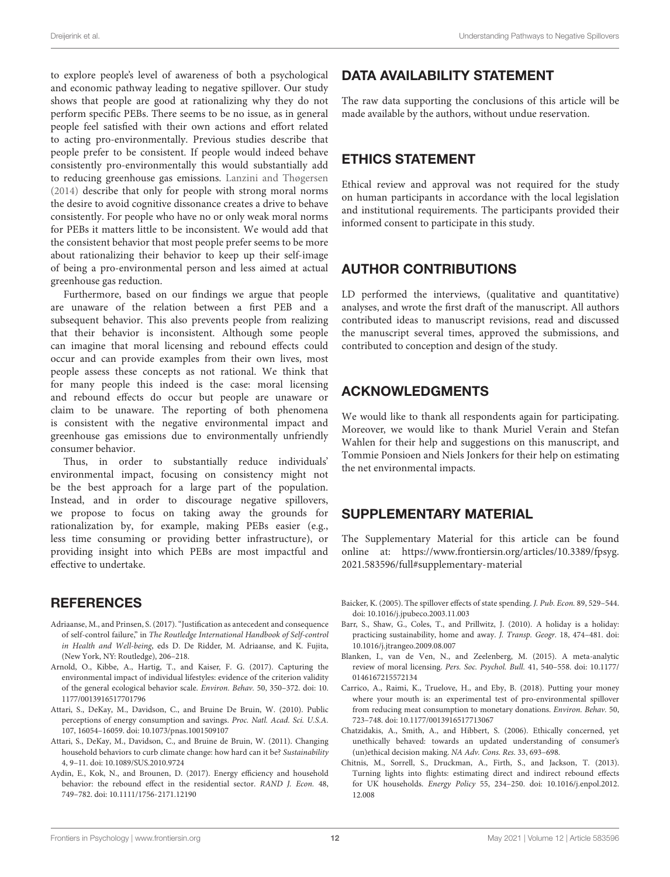to explore people's level of awareness of both a psychological and economic pathway leading to negative spillover. Our study shows that people are good at rationalizing why they do not perform specific PEBs. There seems to be no issue, as in general people feel satisfied with their own actions and effort related to acting pro-environmentally. Previous studies describe that people prefer to be consistent. If people would indeed behave consistently pro-environmentally this would substantially add to reducing greenhouse gas emissions. [Lanzini and Thøgersen](#page-12-4) [\(2014\)](#page-12-4) describe that only for people with strong moral norms the desire to avoid cognitive dissonance creates a drive to behave consistently. For people who have no or only weak moral norms for PEBs it matters little to be inconsistent. We would add that the consistent behavior that most people prefer seems to be more about rationalizing their behavior to keep up their self-image of being a pro-environmental person and less aimed at actual greenhouse gas reduction.

Furthermore, based on our findings we argue that people are unaware of the relation between a first PEB and a subsequent behavior. This also prevents people from realizing that their behavior is inconsistent. Although some people can imagine that moral licensing and rebound effects could occur and can provide examples from their own lives, most people assess these concepts as not rational. We think that for many people this indeed is the case: moral licensing and rebound effects do occur but people are unaware or claim to be unaware. The reporting of both phenomena is consistent with the negative environmental impact and greenhouse gas emissions due to environmentally unfriendly consumer behavior.

Thus, in order to substantially reduce individuals' environmental impact, focusing on consistency might not be the best approach for a large part of the population. Instead, and in order to discourage negative spillovers, we propose to focus on taking away the grounds for rationalization by, for example, making PEBs easier (e.g., less time consuming or providing better infrastructure), or providing insight into which PEBs are most impactful and effective to undertake.

### **REFERENCES**

- <span id="page-11-4"></span>Adriaanse, M., and Prinsen, S. (2017). "Justification as antecedent and consequence of self-control failure," in The Routledge International Handbook of Self-control in Health and Well-being, eds D. De Ridder, M. Adriaanse, and K. Fujita, (New York, NY: Routledge), 206–218.
- <span id="page-11-8"></span>Arnold, O., Kibbe, A., Hartig, T., and Kaiser, F. G. (2017). Capturing the environmental impact of individual lifestyles: evidence of the criterion validity of the general ecological behavior scale. Environ. Behav. 50, 350–372. [doi: 10.](https://doi.org/10.1177/0013916517701796) [1177/0013916517701796](https://doi.org/10.1177/0013916517701796)
- <span id="page-11-9"></span>Attari, S., DeKay, M., Davidson, C., and Bruine De Bruin, W. (2010). Public perceptions of energy consumption and savings. Proc. Natl. Acad. Sci. U.S.A. 107, 16054–16059. [doi: 10.1073/pnas.1001509107](https://doi.org/10.1073/pnas.1001509107)
- <span id="page-11-3"></span>Attari, S., DeKay, M., Davidson, C., and Bruine de Bruin, W. (2011). Changing household behaviors to curb climate change: how hard can it be? Sustainability 4, 9–11. [doi: 10.1089/SUS.2010.9724](https://doi.org/10.1089/SUS.2010.9724)
- <span id="page-11-6"></span>Aydin, E., Kok, N., and Brounen, D. (2017). Energy efficiency and household behavior: the rebound effect in the residential sector. RAND J. Econ. 48, 749–782. [doi: 10.1111/1756-2171.12190](https://doi.org/10.1111/1756-2171.12190)

#### DATA AVAILABILITY STATEMENT

The raw data supporting the conclusions of this article will be made available by the authors, without undue reservation.

### ETHICS STATEMENT

Ethical review and approval was not required for the study on human participants in accordance with the local legislation and institutional requirements. The participants provided their informed consent to participate in this study.

### AUTHOR CONTRIBUTIONS

LD performed the interviews, (qualitative and quantitative) analyses, and wrote the first draft of the manuscript. All authors contributed ideas to manuscript revisions, read and discussed the manuscript several times, approved the submissions, and contributed to conception and design of the study.

## ACKNOWLEDGMENTS

We would like to thank all respondents again for participating. Moreover, we would like to thank Muriel Verain and Stefan Wahlen for their help and suggestions on this manuscript, and Tommie Ponsioen and Niels Jonkers for their help on estimating the net environmental impacts.

### SUPPLEMENTARY MATERIAL

The Supplementary Material for this article can be found online at: [https://www.frontiersin.org/articles/10.3389/fpsyg.](https://www.frontiersin.org/articles/10.3389/fpsyg.2021.583596/full#supplementary-material) [2021.583596/full#supplementary-material](https://www.frontiersin.org/articles/10.3389/fpsyg.2021.583596/full#supplementary-material)

- <span id="page-11-2"></span>Baicker, K. (2005). The spillover effects of state spending. J. Pub. Econ. 89, 529–544. [doi: 10.1016/j.jpubeco.2003.11.003](https://doi.org/10.1016/j.jpubeco.2003.11.003)
- <span id="page-11-0"></span>Barr, S., Shaw, G., Coles, T., and Prillwitz, J. (2010). A holiday is a holiday: practicing sustainability, home and away. J. Transp. Geogr. 18, 474–481. [doi:](https://doi.org/10.1016/j.jtrangeo.2009.08.007) [10.1016/j.jtrangeo.2009.08.007](https://doi.org/10.1016/j.jtrangeo.2009.08.007)
- <span id="page-11-5"></span>Blanken, I., van de Ven, N., and Zeelenberg, M. (2015). A meta-analytic review of moral licensing. Pers. Soc. Psychol. Bull. 41, 540–558. [doi: 10.1177/](https://doi.org/10.1177/0146167215572134) [0146167215572134](https://doi.org/10.1177/0146167215572134)
- <span id="page-11-1"></span>Carrico, A., Raimi, K., Truelove, H., and Eby, B. (2018). Putting your money where your mouth is: an experimental test of pro-environmental spillover from reducing meat consumption to monetary donations. Environ. Behav. 50, 723–748. [doi: 10.1177/0013916517713067](https://doi.org/10.1177/0013916517713067)
- <span id="page-11-10"></span>Chatzidakis, A., Smith, A., and Hibbert, S. (2006). Ethically concerned, yet unethically behaved: towards an updated understanding of consumer's (un)ethical decision making. NA Adv. Cons. Res. 33, 693–698.
- <span id="page-11-7"></span>Chitnis, M., Sorrell, S., Druckman, A., Firth, S., and Jackson, T. (2013). Turning lights into flights: estimating direct and indirect rebound effects for UK households. Energy Policy 55, 234–250. [doi: 10.1016/j.enpol.2012.](https://doi.org/10.1016/j.enpol.2012.12.008) [12.008](https://doi.org/10.1016/j.enpol.2012.12.008)